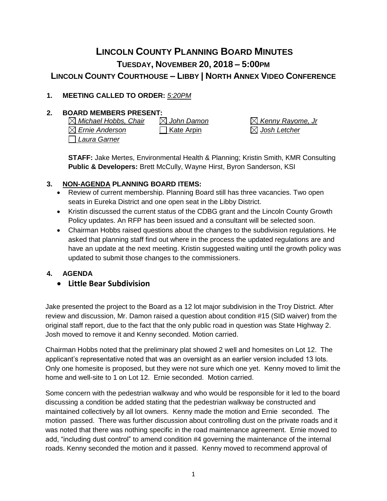# **LINCOLN COUNTY PLANNING BOARD MINUTES TUESDAY, NOVEMBER 20, 2018 – 5:00PM LINCOLN COUNTY COURTHOUSE – LIBBY | NORTH ANNEX VIDEO CONFERENCE**

### **1. MEETING CALLED TO ORDER:** *5:20PM*

### **2. BOARD MEMBERS PRESENT:**

*Michael Hobbs, Chair John Damon Kenny Rayome, Jr Ernie Anderson* Kate Arpin *Josh Letcher Laura Garner*

**STAFF:** Jake Mertes, Environmental Health & Planning; Kristin Smith, KMR Consulting **Public & Developers:** Brett McCully, Wayne Hirst, Byron Sanderson, KSI

#### **3. NON-AGENDA PLANNING BOARD ITEMS:**

- Review of current membership. Planning Board still has three vacancies. Two open seats in Eureka District and one open seat in the Libby District.
- Kristin discussed the current status of the CDBG grant and the Lincoln County Growth Policy updates. An RFP has been issued and a consultant will be selected soon.
- Chairman Hobbs raised questions about the changes to the subdivision regulations. He asked that planning staff find out where in the process the updated regulations are and have an update at the next meeting. Kristin suggested waiting until the growth policy was updated to submit those changes to the commissioners.

#### **4. AGENDA**

• **Little Bear Subdivision**

Jake presented the project to the Board as a 12 lot major subdivision in the Troy District. After review and discussion, Mr. Damon raised a question about condition #15 (SID waiver) from the original staff report, due to the fact that the only public road in question was State Highway 2. Josh moved to remove it and Kenny seconded. Motion carried.

Chairman Hobbs noted that the preliminary plat showed 2 well and homesites on Lot 12. The applicant's representative noted that was an oversight as an earlier version included 13 lots. Only one homesite is proposed, but they were not sure which one yet. Kenny moved to limit the home and well-site to 1 on Lot 12. Ernie seconded. Motion carried.

Some concern with the pedestrian walkway and who would be responsible for it led to the board discussing a condition be added stating that the pedestrian walkway be constructed and maintained collectively by all lot owners. Kenny made the motion and Ernie seconded. The motion passed. There was further discussion about controlling dust on the private roads and it was noted that there was nothing specific in the road maintenance agreement. Ernie moved to add, "including dust control" to amend condition #4 governing the maintenance of the internal roads. Kenny seconded the motion and it passed. Kenny moved to recommend approval of